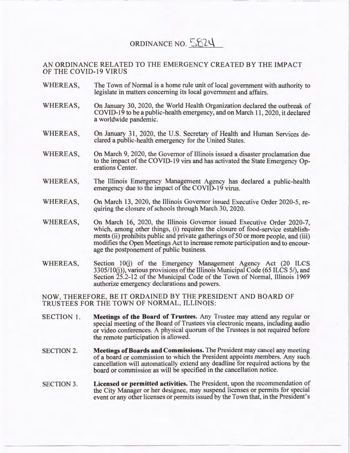## ORDINANCE NO.  $5824$

AN ORDINANCE RELATED TO THE EMERGENCY CREATED BY THE IMPACT OF THE COVID-19 VIRUS

- WHEREAS, The Town of Normal is a home rule unit of local government with authority to legislate in matters concerning its local government and affairs.
- WHEREAS, On January 30, 2020, the World Health Organization declared the outbreak of COVID-19 to be a public-health emergency, and on March 11 , 2020, it declared a worldwide pandemic.
- WHEREAS, On January 31 , 2020, the U.S. Secretary of Health and Human Services declared a public-health emergency for the United States.
- WHEREAS, On March 9, 2020, the Governor of Illinois issued a disaster proclamation due to the impact of the COVID-19 virs and has activated the State Emergency Operations Center.
- WHEREAS, The Illinois Emergency Management Agency has declared a public-health emergency due to the impact of the COVID-19 virus.
- WHEREAS, On March 13, 2020, the Illinois Governor issued Executive Order 2020-5, requiring the closure of schools through March 30, 2020.
- WHEREAS, On March 16, 2020, the Illinois Governor issued Executive Order 2020-7, which, among other things, (i) requires the closure of food-service establishments (ii) prohibits public and private gatherings of 50 or more people, and (iii) modifies the Open Meetings Act to increase remote participation and to encourage the postponement of public business.
- WHEREAS, Section l0(j) of the Emergency Management Agency Act (20 ILCS 3305/1 0(j)), various provisions of the Illinois Municipal Code (65 ILCS 5/), and Section 25.2-12 of the Municipal Code of the Town of Normal, Illinois 1969 authorize emergency declarations and powers.

NOW, THEREFORE, BE IT ORDAINED BY THE PRESIDENT AND BOARD OF TRUSTEES FOR THE TOWN OF NORMAL, ILLINOIS:

- SECTION 1. **Meetings of the Board of Trustees.** Any Trustee may attend any regular or special meeting of the Board of Trustees via electronic means, including audio or video conferences. A physical quorum of the Trustees is not required before the remote participation is allowed.
- SECTION 2. **Meetings of Boards and Commissions.** The President may cancel any meeting of a board or commission to which the President appoints members. Any such cancellation will automatically extend any deadline for required actions by the board or commission as will be specified in the cancellation notice.
- SECTION 3. **Licensed or permitted activities.** The President, upon the recommendation of the City Manager or her designee, may suspend licenses or permits for special event or any other licenses or permits issued by the Town that, in the President's

----------------------------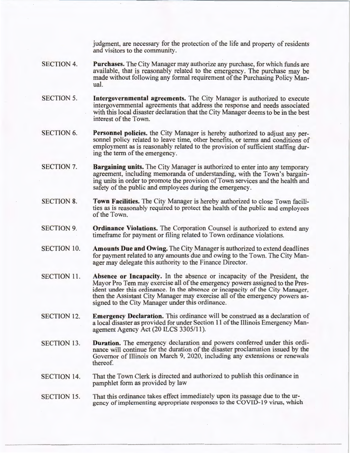judgment, are necessary for the protection of the life and property of residents and visitors to the community.

- SECTION 4. **Purchases.** The City Manager may authorize any purchase, for which funds are available, that is reasonably related to the emergency. The purchase may be made without following any formal requirement of the Purchasing Policy Manual.
- SECTION 5. **Intergovernmental agreements.** The City Manager is authorized to execute intergovernmental agreements that address the response and needs associated with this local disaster declaration that the City Manager deems to be in the best interest of the Town.
- SECTION 6. **Personnel policies.** the City Manager is hereby authorized to adjust any personnel policy related to leave time, other benefits, or terms and conditions of employment as is reasonably related to the provision of sufficient staffing during the term of the emergency.
- SECTION 7. **Bargaining units.** The City Manager is authorized to enter into any temporary agreement, including memoranda of understanding, with the Town's bargaining units in order to promote the provision of Town services and the health and safety of the public and employees during the emergency.
- SECTION 8. **Town Facilities.** The City Manager is hereby authorized to close Town facilities as is reasonably required to protect the health of the public and employees of the Town.
- SECTION 9. **Ordinance Violations.** The Corporation Counsel is authorized to extend any timeframe for payment or filing related to Town ordinance violations.
- SECTION 10. **Amounts Due and Owing.** The City Manager is authorized to extend deadlines for payment related to any amounts due and owing to the Town. The City Manager may delegate this authority to the Finance Director.
- SECTION 11. **Absence or Incapacity.** In the absence or incapacity of the President, the Mayor Pro Tern may exercise all of the emergency powers assigned to the President under this ordinance. In the absence or incapacity of the City Manager, then the Assistant City Manager may exercise all of the emergency powers assigned to the City Manager under this ordinance.
- SECTION 12. **Emergency Declaration.** This ordinance will be construed as a declaration of a local disaster as provided for under Section 11 of the Illinois Emergency Management Agency Act (20 ILCS 3305/11).
- SECTION 13. **Duration.** The emergency declaration and powers conferred under this ordinance will continue for the duration of the disaster proclamation issued by the Governor of Illinois on March 9, 2020, including any extensions or renewals thereof.
- SECTION 14. That the Town Clerk is directed and authorized to publish this ordinance in pamphlet form as provided by law
- SECTION 15. That this ordinance takes effect immediately upon its passage due to the urgency of implementing appropriate responses to the COVID-19 virus, which